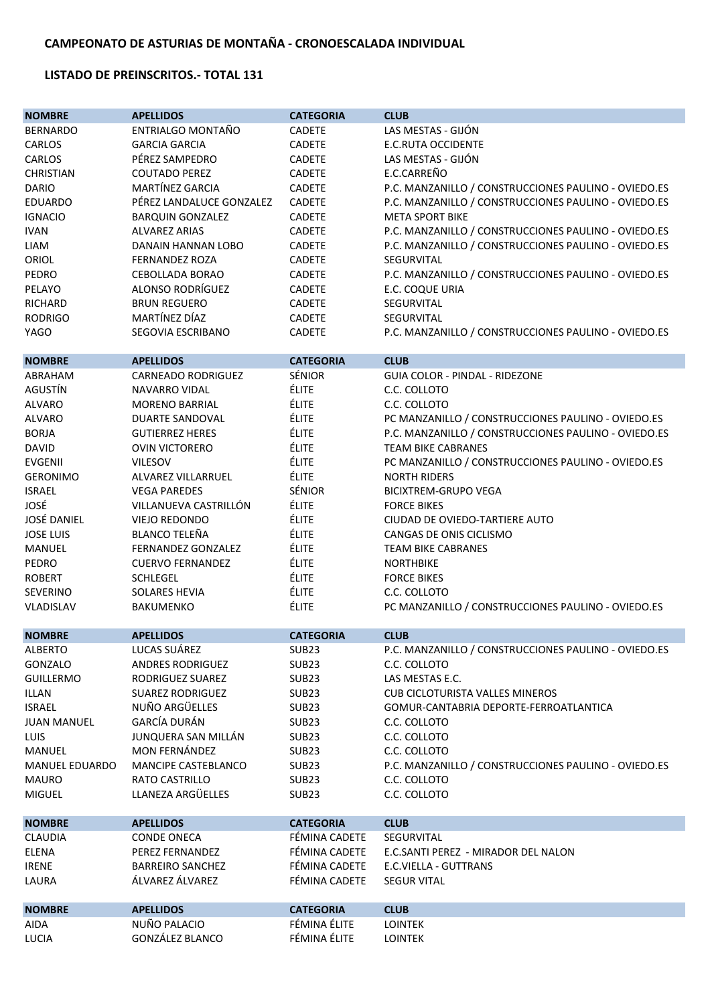## **LISTADO DE PREINSCRITOS.- TOTAL 131**

| <b>NOMBRE</b>         | <b>APELLIDOS</b>          | <b>CATEGORIA</b>  | <b>CLUB</b>                                          |
|-----------------------|---------------------------|-------------------|------------------------------------------------------|
| <b>BERNARDO</b>       | ENTRIALGO MONTAÑO         | <b>CADETE</b>     | LAS MESTAS - GIJÓN                                   |
| CARLOS                | <b>GARCIA GARCIA</b>      | <b>CADETE</b>     | <b>E.C.RUTA OCCIDENTE</b>                            |
| CARLOS                | PÉREZ SAMPEDRO            | <b>CADETE</b>     | LAS MESTAS - GIJÓN                                   |
| <b>CHRISTIAN</b>      | <b>COUTADO PEREZ</b>      | <b>CADETE</b>     | E.C.CARREÑO                                          |
| <b>DARIO</b>          | MARTÍNEZ GARCIA           | CADETE            | P.C. MANZANILLO / CONSTRUCCIONES PAULINO - OVIEDO.ES |
| <b>EDUARDO</b>        | PÉREZ LANDALUCE GONZALEZ  | <b>CADETE</b>     | P.C. MANZANILLO / CONSTRUCCIONES PAULINO - OVIEDO.ES |
| <b>IGNACIO</b>        | <b>BARQUIN GONZALEZ</b>   | <b>CADETE</b>     | <b>META SPORT BIKE</b>                               |
| <b>IVAN</b>           | <b>ALVAREZ ARIAS</b>      | <b>CADETE</b>     | P.C. MANZANILLO / CONSTRUCCIONES PAULINO - OVIEDO.ES |
|                       | DANAIN HANNAN LOBO        | <b>CADETE</b>     | P.C. MANZANILLO / CONSTRUCCIONES PAULINO - OVIEDO.ES |
| LIAM                  |                           |                   | <b>SEGURVITAL</b>                                    |
| ORIOL                 | <b>FERNANDEZ ROZA</b>     | <b>CADETE</b>     |                                                      |
| PEDRO                 | CEBOLLADA BORAO           | <b>CADETE</b>     | P.C. MANZANILLO / CONSTRUCCIONES PAULINO - OVIEDO.ES |
| PELAYO                | ALONSO RODRÍGUEZ          | <b>CADETE</b>     | E.C. COQUE URIA                                      |
| RICHARD               | <b>BRUN REGUERO</b>       | <b>CADETE</b>     | SEGURVITAL                                           |
| <b>RODRIGO</b>        | MARTÍNEZ DÍAZ             | <b>CADETE</b>     | SEGURVITAL                                           |
| <b>YAGO</b>           | SEGOVIA ESCRIBANO         | <b>CADETE</b>     | P.C. MANZANILLO / CONSTRUCCIONES PAULINO - OVIEDO.ES |
| <b>NOMBRE</b>         | <b>APELLIDOS</b>          | <b>CATEGORIA</b>  | <b>CLUB</b>                                          |
| ABRAHAM               | <b>CARNEADO RODRIGUEZ</b> | SÉNIOR            | GUIA COLOR - PINDAL - RIDEZONE                       |
| AGUSTÍN               | NAVARRO VIDAL             | <b>ÉLITE</b>      | C.C. COLLOTO                                         |
| <b>ALVARO</b>         | <b>MORENO BARRIAL</b>     | ÉLITE             | C.C. COLLOTO                                         |
| <b>ALVARO</b>         | <b>DUARTE SANDOVAL</b>    | ÉLITE             | PC MANZANILLO / CONSTRUCCIONES PAULINO - OVIEDO.ES   |
| <b>BORJA</b>          | <b>GUTIERREZ HERES</b>    | ÉLITE             | P.C. MANZANILLO / CONSTRUCCIONES PAULINO - OVIEDO.ES |
| <b>DAVID</b>          | <b>OVIN VICTORERO</b>     | ÉLITE             | <b>TEAM BIKE CABRANES</b>                            |
| <b>EVGENII</b>        | <b>VILESOV</b>            | ÉLITE             | PC MANZANILLO / CONSTRUCCIONES PAULINO - OVIEDO.ES   |
| <b>GERONIMO</b>       | ALVAREZ VILLARRUEL        | ÉLITE             | <b>NORTH RIDERS</b>                                  |
| <b>ISRAEL</b>         | <b>VEGA PAREDES</b>       | SÉNIOR            | <b>BICIXTREM-GRUPO VEGA</b>                          |
| JOSÉ                  | VILLANUEVA CASTRILLÓN     | ÉLITE             | <b>FORCE BIKES</b>                                   |
| <b>JOSÉ DANIEL</b>    | <b>VIEJO REDONDO</b>      | <b>ÉLITE</b>      |                                                      |
|                       |                           |                   | CIUDAD DE OVIEDO-TARTIERE AUTO                       |
| <b>JOSE LUIS</b>      | <b>BLANCO TELEÑA</b>      | ÉLITE             | CANGAS DE ONIS CICLISMO                              |
| <b>MANUEL</b>         | FERNANDEZ GONZALEZ        | ÉLITE             | <b>TEAM BIKE CABRANES</b>                            |
| PEDRO                 | <b>CUERVO FERNANDEZ</b>   | ÉLITE             | <b>NORTHBIKE</b>                                     |
| <b>ROBERT</b>         | <b>SCHLEGEL</b>           | ÉLITE             | <b>FORCE BIKES</b>                                   |
| <b>SEVERINO</b>       | <b>SOLARES HEVIA</b>      | ÉLITE             | C.C. COLLOTO                                         |
| VLADISLAV             | <b>BAKUMENKO</b>          | ÉLITE             | PC MANZANILLO / CONSTRUCCIONES PAULINO - OVIEDO.ES   |
| <b>NOMBRE</b>         | <b>APELLIDOS</b>          | <b>CATEGORIA</b>  | <b>CLUB</b>                                          |
| <b>ALBERTO</b>        | LUCAS SUÁREZ              | SUB <sub>23</sub> | P.C. MANZANILLO / CONSTRUCCIONES PAULINO - OVIEDO.ES |
| GONZALO               | <b>ANDRES RODRIGUEZ</b>   | SUB <sub>23</sub> | C.C. COLLOTO                                         |
| <b>GUILLERMO</b>      | RODRIGUEZ SUAREZ          | SUB <sub>23</sub> | LAS MESTAS E.C.                                      |
| <b>ILLAN</b>          | <b>SUAREZ RODRIGUEZ</b>   | SUB <sub>23</sub> | <b>CUB CICLOTURISTA VALLES MINEROS</b>               |
| <b>ISRAEL</b>         | NUÑO ARGÜELLES            | SUB <sub>23</sub> | GOMUR-CANTABRIA DEPORTE-FERROATLANTICA               |
| <b>JUAN MANUEL</b>    | GARCÍA DURÁN              | SUB <sub>23</sub> | C.C. COLLOTO                                         |
| LUIS                  | JUNQUERA SAN MILLÁN       | SUB <sub>23</sub> | C.C. COLLOTO                                         |
| <b>MANUEL</b>         | <b>MON FERNÁNDEZ</b>      | SUB <sub>23</sub> | C.C. COLLOTO                                         |
| <b>MANUEL EDUARDO</b> | MANCIPE CASTEBLANCO       | SUB <sub>23</sub> | P.C. MANZANILLO / CONSTRUCCIONES PAULINO - OVIEDO.ES |
| <b>MAURO</b>          | <b>RATO CASTRILLO</b>     | SUB <sub>23</sub> | C.C. COLLOTO                                         |
| <b>MIGUEL</b>         | LLANEZA ARGÜELLES         | SUB <sub>23</sub> | C.C. COLLOTO                                         |
| <b>NOMBRE</b>         | <b>APELLIDOS</b>          | <b>CATEGORIA</b>  | <b>CLUB</b>                                          |
| <b>CLAUDIA</b>        | <b>CONDE ONECA</b>        | FÉMINA CADETE     | SEGURVITAL                                           |
|                       | PEREZ FERNANDEZ           | FÉMINA CADETE     | E.C.SANTI PEREZ - MIRADOR DEL NALON                  |
| ELENA                 |                           |                   |                                                      |
| <b>IRENE</b>          | <b>BARREIRO SANCHEZ</b>   | FÉMINA CADETE     | E.C.VIELLA - GUTTRANS                                |
| LAURA                 | ÁLVAREZ ÁLVAREZ           | FÉMINA CADETE     | <b>SEGUR VITAL</b>                                   |
| <b>NOMBRE</b>         | <b>APELLIDOS</b>          | <b>CATEGORIA</b>  | <b>CLUB</b>                                          |
| AIDA                  | NUÑO PALACIO              | FÉMINA ÉLITE      | <b>LOINTEK</b>                                       |
| LUCIA                 | GONZÁLEZ BLANCO           | FÉMINA ÉLITE      | <b>LOINTEK</b>                                       |
|                       |                           |                   |                                                      |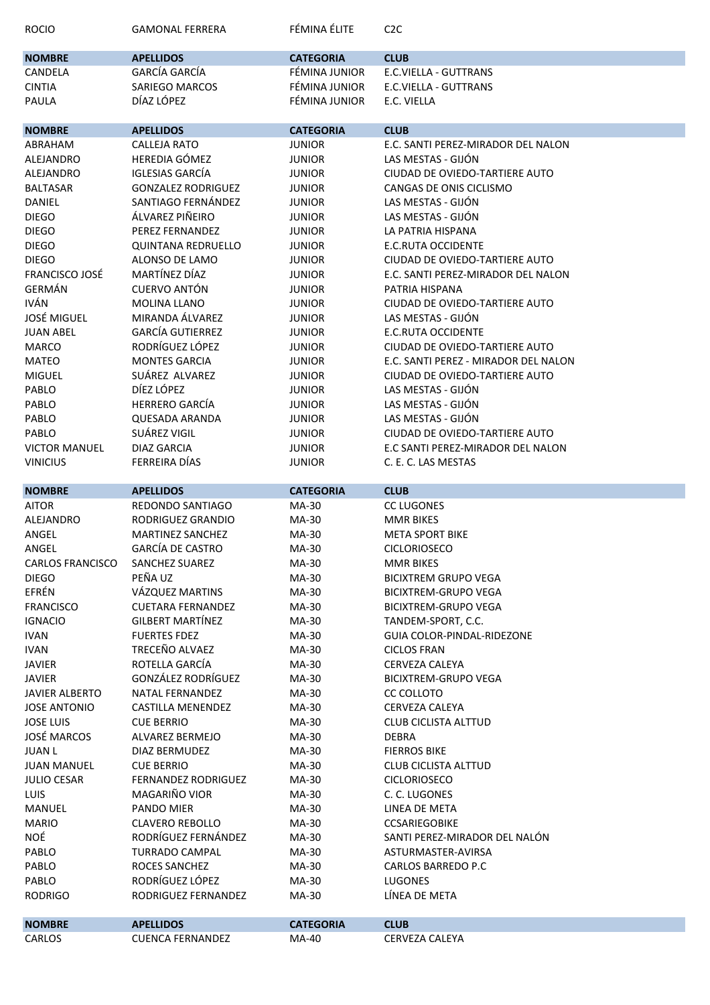| <b>ROCIO</b>                        | <b>GAMONAL FERRERA</b>                 | FÉMINA ÉLITE     | C <sub>2</sub> C                              |
|-------------------------------------|----------------------------------------|------------------|-----------------------------------------------|
| <b>NOMBRE</b>                       | <b>APELLIDOS</b>                       | <b>CATEGORIA</b> | <b>CLUB</b>                                   |
| CANDELA                             | GARCÍA GARCÍA                          | FÉMINA JUNIOR    | E.C.VIELLA - GUTTRANS                         |
| <b>CINTIA</b>                       | SARIEGO MARCOS                         | FÉMINA JUNIOR    | E.C.VIELLA - GUTTRANS                         |
| PAULA                               | DÍAZ LÓPEZ                             | FÉMINA JUNIOR    | E.C. VIELLA                                   |
| <b>NOMBRE</b>                       | <b>APELLIDOS</b>                       | <b>CATEGORIA</b> | <b>CLUB</b>                                   |
| ABRAHAM                             | <b>CALLEJA RATO</b>                    | <b>JUNIOR</b>    | E.C. SANTI PEREZ-MIRADOR DEL NALON            |
| <b>ALEJANDRO</b>                    | HEREDIA GÓMEZ                          | <b>JUNIOR</b>    | LAS MESTAS - GIJÓN                            |
| <b>ALEJANDRO</b>                    | <b>IGLESIAS GARCÍA</b>                 | <b>JUNIOR</b>    | CIUDAD DE OVIEDO-TARTIERE AUTO                |
| <b>BALTASAR</b>                     | <b>GONZALEZ RODRIGUEZ</b>              | <b>JUNIOR</b>    | CANGAS DE ONIS CICLISMO                       |
| DANIEL                              | SANTIAGO FERNÁNDEZ                     | <b>JUNIOR</b>    | LAS MESTAS - GIJÓN                            |
| <b>DIEGO</b>                        | ÁLVAREZ PIÑEIRO                        | <b>JUNIOR</b>    | LAS MESTAS - GIJÓN                            |
| <b>DIEGO</b>                        | PEREZ FERNANDEZ                        | <b>JUNIOR</b>    | LA PATRIA HISPANA                             |
| <b>DIEGO</b>                        | <b>QUINTANA REDRUELLO</b>              | <b>JUNIOR</b>    | E.C.RUTA OCCIDENTE                            |
| <b>DIEGO</b>                        | ALONSO DE LAMO                         | <b>JUNIOR</b>    | CIUDAD DE OVIEDO-TARTIERE AUTO                |
| <b>FRANCISCO JOSÉ</b>               | MARTÍNEZ DÍAZ                          | <b>JUNIOR</b>    | E.C. SANTI PEREZ-MIRADOR DEL NALON            |
| <b>GERMÁN</b>                       | <b>CUERVO ANTÓN</b>                    | <b>JUNIOR</b>    | PATRIA HISPANA                                |
| <b>IVÁN</b>                         | <b>MOLINA LLANO</b>                    | <b>JUNIOR</b>    | CIUDAD DE OVIEDO-TARTIERE AUTO                |
| <b>JOSÉ MIGUEL</b>                  | MIRANDA ÁLVAREZ                        | <b>JUNIOR</b>    | LAS MESTAS - GIJÓN                            |
| <b>JUAN ABEL</b>                    | <b>GARCÍA GUTIERREZ</b>                | <b>JUNIOR</b>    | <b>E.C.RUTA OCCIDENTE</b>                     |
| <b>MARCO</b>                        | RODRÍGUEZ LÓPEZ                        | <b>JUNIOR</b>    | CIUDAD DE OVIEDO-TARTIERE AUTO                |
| <b>MATEO</b>                        | <b>MONTES GARCIA</b>                   | <b>JUNIOR</b>    | E.C. SANTI PEREZ - MIRADOR DEL NALON          |
| <b>MIGUEL</b>                       | SUÁREZ ALVAREZ                         | <b>JUNIOR</b>    | CIUDAD DE OVIEDO-TARTIERE AUTO                |
| PABLO                               | DÍEZ LÓPEZ                             | <b>JUNIOR</b>    | LAS MESTAS - GIJÓN                            |
| PABLO                               | <b>HERRERO GARCÍA</b>                  | <b>JUNIOR</b>    | LAS MESTAS - GIJÓN                            |
| PABLO                               | <b>QUESADA ARANDA</b>                  | <b>JUNIOR</b>    | LAS MESTAS - GIJÓN                            |
| PABLO                               | SUÁREZ VIGIL                           | <b>JUNIOR</b>    | CIUDAD DE OVIEDO-TARTIERE AUTO                |
| <b>VICTOR MANUEL</b>                | DIAZ GARCIA                            | <b>JUNIOR</b>    | E.C SANTI PEREZ-MIRADOR DEL NALON             |
| <b>VINICIUS</b>                     | FERREIRA DÍAS                          | <b>JUNIOR</b>    | C. E. C. LAS MESTAS                           |
|                                     |                                        |                  |                                               |
| <b>NOMBRE</b>                       | <b>APELLIDOS</b>                       | <b>CATEGORIA</b> | <b>CLUB</b>                                   |
|                                     |                                        |                  |                                               |
| <b>AITOR</b>                        | REDONDO SANTIAGO                       | MA-30            | <b>CC LUGONES</b>                             |
| <b>ALEJANDRO</b>                    | RODRIGUEZ GRANDIO                      | MA-30            | <b>MMR BIKES</b>                              |
| ANGEL                               | <b>MARTINEZ SANCHEZ</b>                | MA-30            | <b>META SPORT BIKE</b>                        |
| ANGEL                               | <b>GARCÍA DE CASTRO</b>                | MA-30            | CICLORIOSECO                                  |
| <b>CARLOS FRANCISCO</b>             | SANCHEZ SUAREZ                         | MA-30            | <b>MMR BIKES</b>                              |
| <b>DIEGO</b>                        | PEÑA UZ                                | MA-30            | <b>BICIXTREM GRUPO VEGA</b>                   |
| EFRÉN                               | VÁZQUEZ MARTINS                        | MA-30            | <b>BICIXTREM-GRUPO VEGA</b>                   |
| <b>FRANCISCO</b>                    | <b>CUETARA FERNANDEZ</b>               | MA-30            | <b>BICIXTREM-GRUPO VEGA</b>                   |
| <b>IGNACIO</b>                      | <b>GILBERT MARTÍNEZ</b>                | MA-30            | TANDEM-SPORT, C.C.                            |
| <b>IVAN</b>                         | <b>FUERTES FDEZ</b>                    | MA-30            | <b>GUIA COLOR-PINDAL-RIDEZONE</b>             |
| <b>IVAN</b>                         | TRECEÑO ALVAEZ                         | MA-30            | <b>CICLOS FRAN</b>                            |
| <b>JAVIER</b>                       | ROTELLA GARCÍA                         | MA-30            | CERVEZA CALEYA                                |
| <b>JAVIER</b>                       | GONZÁLEZ RODRÍGUEZ                     | MA-30            | <b>BICIXTREM-GRUPO VEGA</b>                   |
| <b>JAVIER ALBERTO</b>               | NATAL FERNANDEZ                        | MA-30            | CC COLLOTO                                    |
| <b>JOSE ANTONIO</b>                 | CASTILLA MENENDEZ<br><b>CUE BERRIO</b> | MA-30            | CERVEZA CALEYA<br><b>CLUB CICLISTA ALTTUD</b> |
| <b>JOSE LUIS</b>                    | ALVAREZ BERMEJO                        | MA-30            | <b>DEBRA</b>                                  |
| <b>JOSÉ MARCOS</b><br><b>JUAN L</b> | DIAZ BERMUDEZ                          | MA-30<br>MA-30   | <b>FIERROS BIKE</b>                           |
| <b>JUAN MANUEL</b>                  | <b>CUE BERRIO</b>                      | MA-30            | <b>CLUB CICLISTA ALTTUD</b>                   |
| <b>JULIO CESAR</b>                  | <b>FERNANDEZ RODRIGUEZ</b>             | MA-30            | <b>CICLORIOSECO</b>                           |
| <b>LUIS</b>                         | MAGARIÑO VIOR                          | MA-30            | C. C. LUGONES                                 |
| MANUEL                              | PANDO MIER                             | MA-30            | LINEA DE META                                 |
| <b>MARIO</b>                        | <b>CLAVERO REBOLLO</b>                 | MA-30            | <b>CCSARIEGOBIKE</b>                          |
| NOÉ                                 | RODRÍGUEZ FERNÁNDEZ                    | MA-30            | SANTI PEREZ-MIRADOR DEL NALÓN                 |
| PABLO                               | <b>TURRADO CAMPAL</b>                  | MA-30            | ASTURMASTER-AVIRSA                            |
| PABLO                               | ROCES SANCHEZ                          | MA-30            | <b>CARLOS BARREDO P.C</b>                     |
| PABLO                               | RODRÍGUEZ LÓPEZ                        | MA-30            | <b>LUGONES</b>                                |
| <b>RODRIGO</b>                      | RODRIGUEZ FERNANDEZ                    | MA-30            | LÍNEA DE META                                 |
| <b>NOMBRE</b>                       | <b>APELLIDOS</b>                       | <b>CATEGORIA</b> | <b>CLUB</b>                                   |
| CARLOS                              | <b>CUENCA FERNANDEZ</b>                | MA-40            | CERVEZA CALEYA                                |